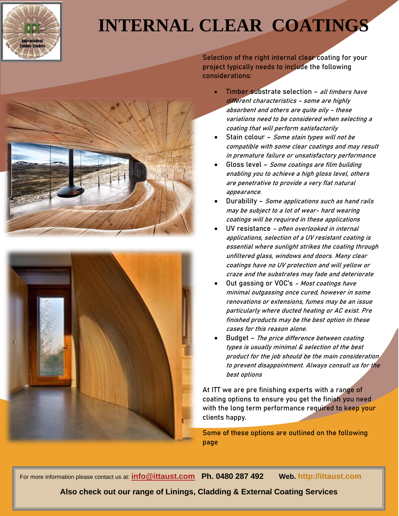

## **INTERNAL CLEAR COATINGS**





**Selection of the right internal clear coating for your project typically needs to include the following considerations:**

- **Timber substrate selection – all timbers have different characteristics – some are highly absorbent and others are quite oily – these variations need to be considered when selecting a coating that will perform satisfactorily**
- **Stain colour – Some stain types will not be compatible with some clear coatings and may result in premature failure or unsatisfactory performance**
- **Gloss level – Some coatings are film building enabling you to achieve a high gloss level, others are penetrative to provide a very flat natural appearance.**
- **Durability – Some applications such as hand rails may be subject to a lot of wear- hard wearing coatings will be required in these applications**
- **UV resistance – often overlooked in internal applications, selection of a UV resistant coating is essential where sunlight strikes the coating through unfiltered glass, windows and doors. Many clear coatings have no UV protection and will yellow or craze and the substrates may fade and deteriorate**
- **Out gassing or VOC's – Most coatings have minimal outgassing once cured, however in some renovations or extensions, fumes may be an issue particularly where ducted heating or AC exist. Pre finished products may be the best option in these cases for this reason alone.**
- **Budget – The price difference between coating types is usually minimal & selection of the best product for the job should be the main consideration to prevent disappointment. Always consult us for the best options**

**At ITT we are pre finishing experts with a range of coating options to ensure you get the finish you need with the long term performance required to keep your clients happy.**

**Some of these options are outlined on the following page**

For more information please contact us at: **[info@ittaust.com](mailto:info@ittaust.com) Ph. 0480 287 492 Web. http://ittaust.com**

**Also check out our range of Linings, Cladding & External Coating Services**